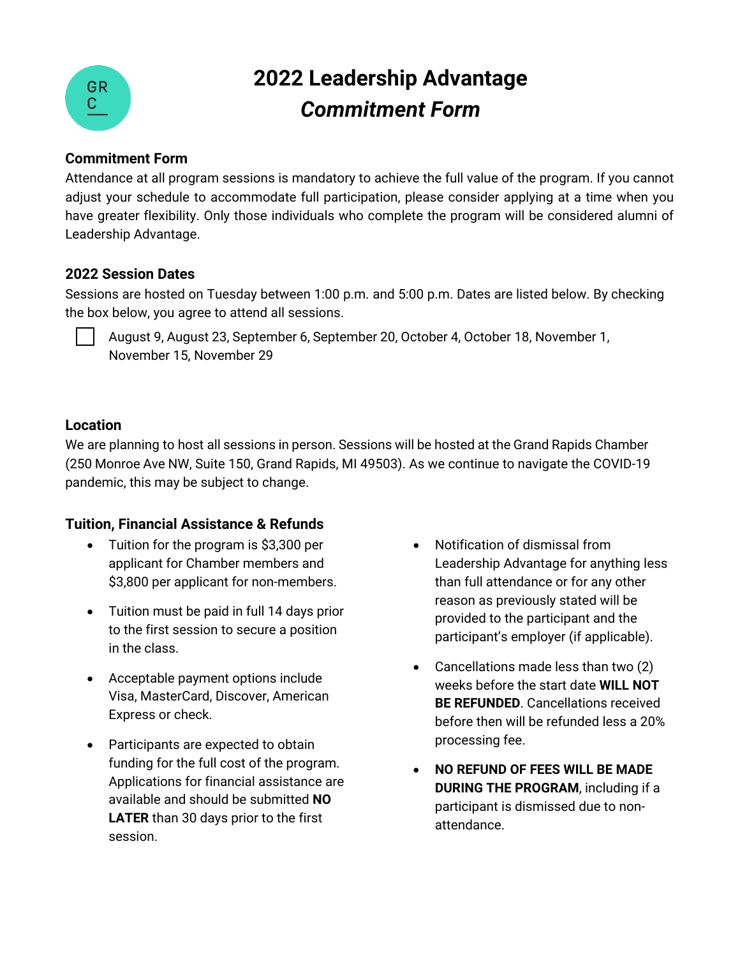

# **2022 Leadership Advantage**  *Commitment Form*

#### **Commitment Form**

Attendance at all program sessions is mandatory to achieve the full value of the program. If you cannot adjust your schedule to accommodate full participation, please consider applying at a time when you have greater flexibility. Only those individuals who complete the program will be considered alumni of Leadership Advantage.

#### **2022 Session Dates**

Sessions are hosted on Tuesday between 1:00 p.m. and 5:00 p.m. Dates are listed below. By checking the box below, you agree to attend all sessions.

August 9, August 23, September 6, September 20, October 4, October 18, November 1, November 15, November 29

### **Location**

We are planning to host all sessions in person. Sessions will be hosted at the Grand Rapids Chamber (250 Monroe Ave NW, Suite 150, Grand Rapids, MI 49503). As we continue to navigate the COVID-19 pandemic, this may be subject to change.

## **Tuition, Financial Assistance & Refunds**

- Tuition for the program is \$3,300 per applicant for Chamber members and \$3,800 per applicant for non-members.
- Tuition must be paid in full 14 days prior to the first session to secure a position in the class.
- Acceptable payment options include Visa, MasterCard, Discover, American Express or check.
- Participants are expected to obtain funding for the full cost of the program. Applications for financial assistance are available and should be submitted **NO LATER** than 30 days prior to the first session.
- Notification of dismissal from Leadership Advantage for anything less than full attendance or for any other reason as previously stated will be provided to the participant and the participant's employer (if applicable).
- Cancellations made less than two (2) weeks before the start date **WILL NOT BE REFUNDED**. Cancellations received before then will be refunded less a 20% processing fee.
- **NO REFUND OF FEES WILL BE MADE DURING THE PROGRAM**, including if a participant is dismissed due to nonattendance.